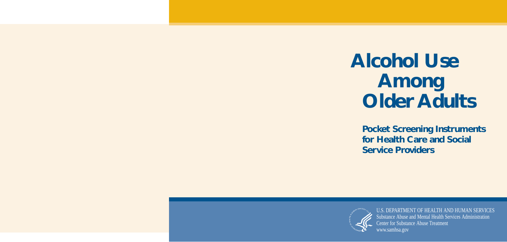# **Alcohol Use Among Older Adults**

**Pocket Screening Instruments for Health Care and Social Service Providers** 



U.S. DEPARTMENT OF HEALTH AND HUMAN SERVICES Substance Abuse and Mental Health Services Administration Center for Substance Abuse Treatment [www.samhsa.gov](http://www.samhsa.gov)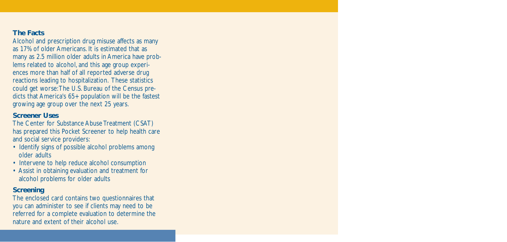# **The Facts**

Alcohol and prescription drug misuse affects as many as 17% of older Americans. It is estimated that as many as 2.5 million older adults in America have problems related to alcohol, and this age group experiences more than half of all reported adverse drug reactions leading to hospitalization. These statistics could get worse:The U.S. Bureau of the Census predicts that America's 65+ population will be the fastest growing age group over the next 25 years.

# **Screener Uses**

The Center for Substance Abuse Treatment (CSAT) has prepared this Pocket Screener to help health care and social service providers:

- Identify signs of possible alcohol problems among older adults
- Intervene to help reduce alcohol consumption
- Assist in obtaining evaluation and treatment for alcohol problems for older adults

# **Screening**

The enclosed card contains two questionnaires that you can administer to see if clients may need to be referred for a complete evaluation to determine the nature and extent of their alcohol use.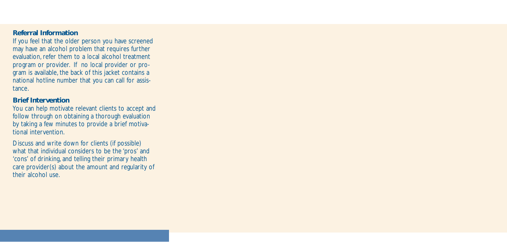# **Referral Information**

If you feel that the older person you have screened may have an alcohol problem that requires further evaluation, refer them to a local alcohol treatment program or provider. If no local provider or program is available, the back of this jacket contains a national hotline number that you can call for assistance.

# **Brief Intervention**

You can help motivate relevant clients to accept and follow through on obtaining a thorough evaluation by taking a few minutes to provide a brief motivational intervention.

Discuss and write down for clients (if possible) what that individual considers to be the 'pros' and 'cons' of drinking, and telling their primary health care provider(s) about the amount and regularity of their alcohol use.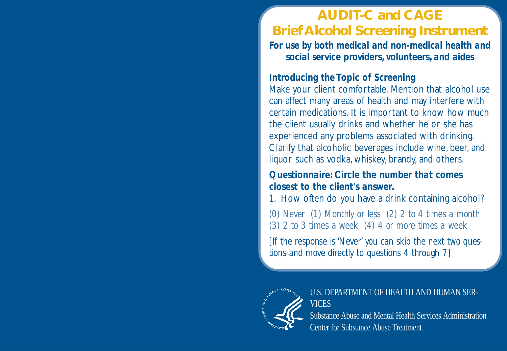# **AUDIT-C and CAGE Brief Alcohol Screening Instrument**

*For use by both medical and non-medical health and social service providers, volunteers, and aides* 

### *Introducing the Topic of Screening*

Make your client comfortable. Mention that alcohol use can affect many areas of health and may interfere with certain medications. It is important to know how much the client usually drinks and whether he or she has experienced any problems associated with drinking. Clarify that alcoholic beverages include wine, beer, and liquor such as vodka, whiskey, brandy, and others.

### *Questionnaire: Circle the number that comes closest to the client's answer.*

1. How often do you have a drink containing alcohol?

*(0) Never (1) Monthly or less (2) 2 to 4 times a month (3) 2 to 3 times a week (4) 4 or more times a week* 

*[If the response is 'Never' you can skip the next two questions and move directly to questions 4 through 7]* 



U.S. DEPARTMENT OF HEALTH AND HUMAN SER-**VICES** Substance Abuse and Mental Health Services Administration Center for Substance Abuse Treatment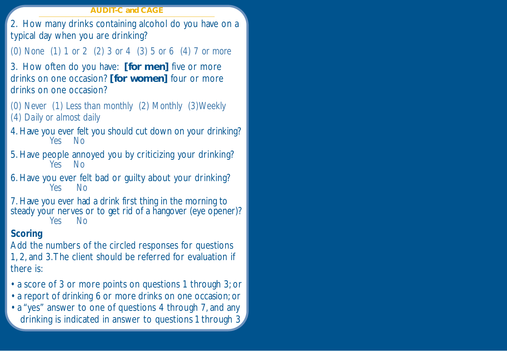#### **AUDIT-C and CAGE**

2. How many drinks containing alcohol do you have on a typical day when you are drinking?

*(0) None (1) 1 or 2 (2) 3 or 4 (3) 5 or 6 (4) 7 or more* 

3. How often do you have: **[for men]** five or more drinks on one occasion? **[for women]** four or more drinks on one occasion?

*(0) Never (1) Less than monthly (2) Monthly (3)Weekly (4) Daily or almost daily* 

4. Have you ever felt you should cut down on your drinking? *Yes No* 

- 5. Have people annoyed you by criticizing your drinking? *Yes No*
- 6. Have you ever felt bad or guilty about your drinking? *Yes No*

7. Have you ever had a drink first thing in the morning to steady your nerves or to get rid of a hangover (eye opener)? *Yes No* 

### *Scoring*

Add the numbers of the circled responses for questions 1, 2, and 3.The client should be referred for evaluation if there is:

- a score of 3 or more points on questions 1 through 3; or
- a report of drinking 6 or more drinks on one occasion; or
- a "yes" answer to one of questions 4 through 7, and any drinking is indicated in answer to questions 1 through 3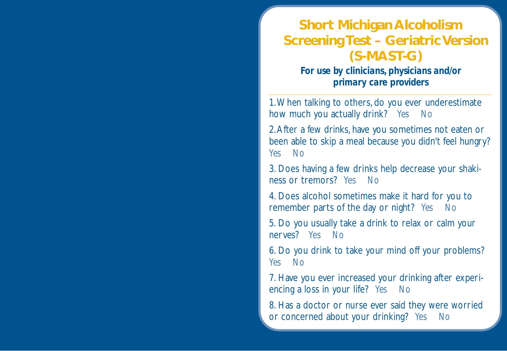# **Short Michigan Alcoholism Screening Test – Geriatric Version (S-MAST-G)**

*For use by clinicians, physicians and/or primary care providers* 

1.When talking to others, do you ever underestimate how much you actually drink? *Yes No* 

2.After a few drinks, have you sometimes not eaten or been able to skip a meal because you didn't feel hungry? *Yes No* 

3. Does having a few drinks help decrease your shakiness or tremors? *Yes No* 

4. Does alcohol sometimes make it hard for you to remember parts of the day or night? *Yes No* 

5. Do you usually take a drink to relax or calm your nerves? *Yes No* 

6. Do you drink to take your mind off your problems? *Yes No* 

7. Have you ever increased your drinking after experiencing a loss in your life? *Yes No* 

8. Has a doctor or nurse ever said they were worried or concerned about your drinking? *Yes No*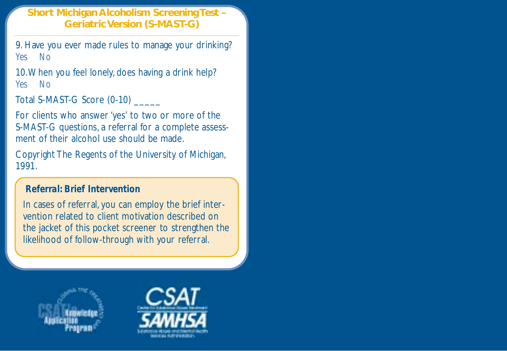### **Short Michigan Alcoholism Screening Test – Geriatric Version (S-MAST-G)**

9. Have you ever made rules to manage your drinking? *Yes No* 

10.When you feel lonely, does having a drink help? *Yes No* 

Total S-MAST-G Score (0-10)

For clients who answer 'yes' to two or more of the S-MAST-G questions, a referral for a complete assessment of their alcohol use should be made.

Copyright The Regents of the University of Michigan, 1991.

### *Referral: Brief Intervention*

In cases of referral, you can employ the brief intervention related to client motivation described on the jacket of this pocket screener to strengthen the likelihood of follow-through with your referral.